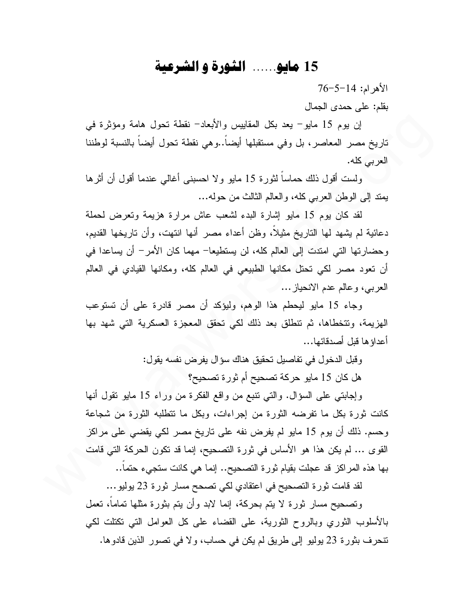## 15 مايو...... الشورة و الشرعية

 $76 - 5 - 14$  الأهرام: 14 بقلم: على حمدى الجمال

إن يوم 15 مايو – يعد بكل المقاييس والأبعاد– نقطة تحول هامة ومؤثرة في ناريخ مصر المعاصر، بل وفي مستقبلها أيضاً..وهي نقطة نحول أيضاً بالنسبة لوطننا العربي كله.

ولست أقول ذلك حماساً لثورة 15 مايو ولا احسبني أغالبي عندما أقول أن أثرها يمند إلى الوطن العربي كله، والعالم الثالث من حوله...

لقد كان يوم 15 مايو إشارة البدء لشعب عاش مرارة هزيمة ونعرض لحملة دعائية لم يشهد لها التاريخ مثيلًا، وظن أعداء مصر أنها انتهت، وأن تاريخها القديم، وحضارتها التي امتدت إلى العالم كله، لن يستطيعا– مهما كان الأمر– أن يساعدا في أن نعود مصر لكي نحنل مكانها الطبيعي في العالم كله، ومكانها القيادي في العالم العربي، وعالم عدم الانحياز ...

وجاء 15 مايو ليحطم هذا الوهم، وليؤكد أن مصر قادرة على أن تستوعب الهزيمة، وتتخطاها، ثم نتطلق بعد ذلك لكي تحقق المعجزة العسكرية التي شهد بها أعداؤها قبل أصدقائها...

وقبل الدخول في تفاصيل تحقيق هناك سؤال يفرض نفسه يقول:

هل كان 15 مايو حركة تصحيح أم ثورة تصحيح؟

وإجابتي على السؤال. والتي تنبع من واقع الفكرة من وراء 15 مايو نقول أنها كانت ثورة بكل ما تفرضه الثورة من إجراءات، وبكل ما تتطلبه الثورة من شجاعة وحسم. ذلك أن يوم 15 مايو لم يفرض نفه على ناريخ مصر لكي يقضي على مراكز القوى … لم يكن هذا هو الأساس في ثورة التصحيح، إنما قد تكون الحركة التي قامت بها هذه المراكز قد عجلت بقيام ثورة التصحيح.. إنما هي كانت ستجيء حتما..

لقد قامت ثورة التصحيح في اعتقادي لكي تصحح مسار ثورة 23 يوليو…

وتصحيح مسار ثورة لا يتم بحركة، إنما لابد وأن يتم بثورة مثلها تماماً، تعمل بالأسلوب الثوري وبالروح الثورية، على القضاء على كل العوامل التي نكتلت لكي تنحرف بثورة 23 يوليو إلى طريق لم يكن في حساب، ولا في تصور الذين قادوها.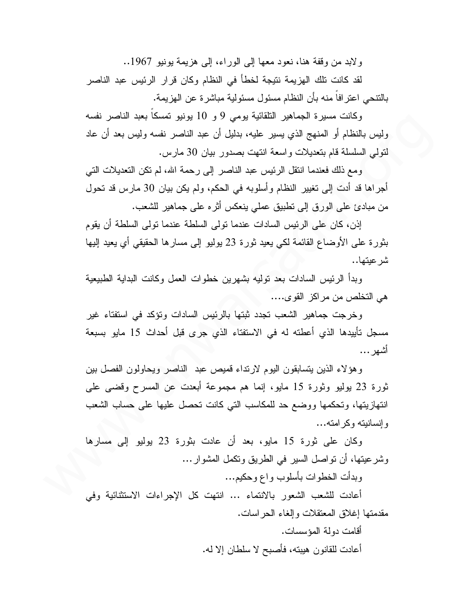ولابد من وقفة هنا، نعود معها إلى الوراء، إلى هزيمة بونيو 1967..

لقد كانت نلك الهزيمة نتيجة لخطأ في النظام وكان قرار الرئيس عبد الناصر بالنتحي اعتر افا منه بأن النظام مسئول مسئولية مباشرة عن الهزيمة.

وكانت مسيرة الجماهير النلقائية بومي 9 و 10 يونيو تمسكاً بعبد الناصر نفسه وليس بالنظام أو المنهج الذي يسير عليه، بدليل أن عبد الناصر نفسه وليس بعد أن عاد لتولَّى السلسلة قام بتعديلات واسعة انتهت بصدور ببان 30 مارس.

ومع ذلك فعندما انتقل الرئيس عبد الناصر إلى رحمة الله، لم تكن التعديلات التي أجراها قد أدت إلى نغيير النظام وأسلوبه في الحكم، ولم يكن بيان 30 مارس قد نحول من مبادئ على الورق إلى نطبيق عملي ينعكس أثره على جماهير للشعب.

إذن، كان على الرئيس السادات عندما تولى السلطة عندما تولى السلطة أن يقوم بثورة على الأوضاع القائمة لكي يعيد ثورة 23 بوليو إلى مسارها الحقيقي أي يعيد إليها شر عبتها…

وبدأ الرئيس السادات بعد نوليه بشهرين خطوات العمل وكانت البداية الطبيعية هي التخلص من مراكز القوى....

وخرجت جماهير الشعب تجدد ثبتها بالرئيس السادات وتؤكد في استفتاء غير مسجل تأييدها الذي أعطته له في الاستفتاء الذي جرى قبل أحداث 15 مايو بسبعة أشهر …

وهؤلاء الذين يتسابقون اليوم لارنداء قميص عبد الناصر ويحاولون الفصل بين ثورة 23 بوليو وثورة 15 مايو، إنما هم مجموعة أبعدت عن المسرح وقضيي على انتهازيتها، وتحكمها ووضع حد للمكاسب التبي كانت تحصل عليها على حساب الشعب و انسانبته و کر امته...

وكان على ثورة 15 مايو، بعد أن عادت بثورة 23 يوليو إلى مسارها وشرعيتها، أن نواصل السير في الطريق ونكمل المشوار …

وبدأت الخطوات بأسلوب واع وحكيم...

أعادت للشعب الشعور بالانتماء ... انتهت كل الإجراءات الاستثنائية وفي مقدمتها إغلاق المعتقلات وإلغاء الحراسات.

> أقامت دولة المؤسسات. أعادت للقانون هيبته، فأصبح لا سلطان إلا له.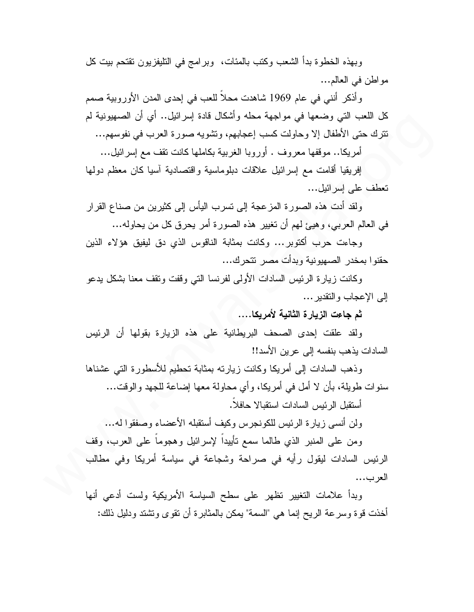وبهذه الخطوة بدأ الشعب وكتب بالمئات، وبرامج في التليفزيون تقتحم بيت كل مواطن في العالم...

وأذكر أننبي في عام 1969 شاهدت محلاً للعب في إحدى المدن الأوروبية صمم كل اللعب التي وضعها في مواجهة محله وأشكال قادة إسرائيل.. أي أن الصهيونية لم نترك حتى الأطفال إلا وحاولت كسب إعجابهم، وتشويه صورة العرب في نفوسهم...

أمريكا.. موقفها معروف . أوروبا الغربية بكاملها كانت نقف مع إسرائيل...

إفريقيا أقامت مع إسرائيل علاقات دبلوماسية واقتصادية آسيا كان معظم دولها تعطف على إسر ائيل...

ولقد أدت هذه الصورة المزعجة إلى نسرب اليأس إلى كثيرين من صناع القرار في العالم العربي، وهيئ لهم أن تغيير هذه الصورة أمر يحرق كل من يحاوله...

وجاءت حرب أكتوبر... وكانت بمثابة الناقوس الذي دق ليفيق هؤلاء الذين حقنوا بمخدر الصهيونية وبدأت مصر نتحرك...

وكانت زيارة الرئيس السادات الأولى لفرنسا الني وقفت ونقف معنا بشكل يدعو إلى الإعجاب والنقدير …

ثم جاءت الزبار ة الثانية لأمريكا....

ولقد علقت إحدى الصحف البريطانية على هذه الزيارة بقولها أن الرئيس السادات يذهب بنفسه إلى عرين الأسد!!

وذهب السادات إلىي أمريكا وكانت زيارته بمثابة تحطيم للأسطورة التي عشناها سنو ات طويلة، بأن لا أمل في أمريكا، و أي محاولة معها إضاعة للجهد و الوقت...

أستقبل الر ئبس السادات استقبالا حافلاً.

ولن أنسى زيارة الرئيس للكونجرس وكيف أستقبله الأعضاء وصفقوا له...

ومن على المنبر الذي طالما سمع نأبيداً لإسرائيل وهجوماً على العرب، وقف الرئيس السادات ليقول رأيه في صراحة وشجاعة في سياسة أمريكا وفي مطالب العرب...

وبدأ علامات التغيير تظهر على سطح السياسة الأمريكية ولست أدعى أنها أخذت قوة وسرعة الريح إنما هي "السمة" يمكن بالمثابرة أن نقوى ونشتد ودليل ذلك: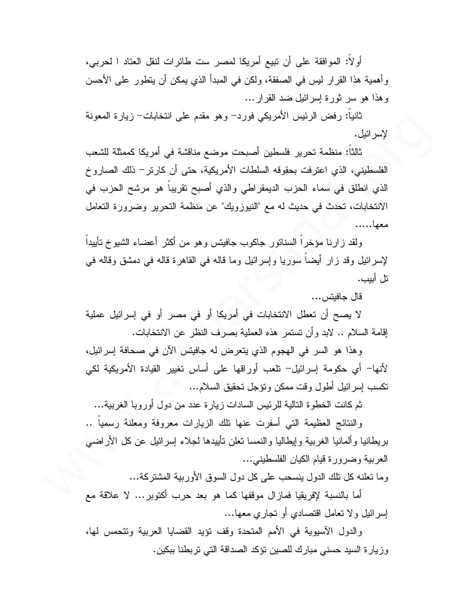أولاً: الموافقة على أن تبيع أمريكا لمصر ست طائرات لنقل العتاد ا لحربي، وأهمية هذا القرار ليس في الصفقة، ولكن في المبدأ الذي يمكن أن يتطور على الأحسن وهذا هو سر ثورة إسرائيل ضد القرار …

ثانياً: رفض الرئيس الأمريكي فورد– وهو مقدم على انتخابات– زيارة المعونة لإسر ائبل.

ثالثاً: منظمة تحرير فلسطين أصبحت موضع مناقشة في أمريكا كممثلة للشعب الفلسطيني، الذي اعترفت بحقوقه السلطات الأمريكية، حتى أن كارتر – ذلك الصاروخ الذي انطلق في سماء الحزب الديمقراطي والذي أصبح نقريباً هو مرشح الحزب في الانتخابات، تحدث في حديث له مع "النيوزويك" عن منظمة التحرير وضرورة التعامل معها……

ولقد زارنا مؤخراً السنانور جاكوب جافيتس وهو من أكثر أعضاء الشيوخ نأييداً لإسرائيل وقد زار أيضا سوريا وإسرائيل وما قاله في القاهرة قاله في دمشق وقاله في تل أبيب.

قال جافيتس...

لا يصح أن تعطل الانتخابات في أمريكا أو في مصر أو في إسرائيل عملية إقامة السلام .. لابد و أن تستمر هذه العملية بصرف النظر عن الانتخابات.

وهذا هو السر في الهجوم الذي يتعرض له جافيتس الآن في صحافة إسرائيل، لأنها– أي حكومة إسرائيل– تلعب أوراقها على أساس تغيير القيادة الأمريكية لكي تكسب إسر ائيل أطول وقت ممكن ونؤجل تحقيق السلام...

ثم كانت الخطوة النالية للرئيس السادات زيارة عدد من دول أوروبا الغربية…

والنتائج العظيمة التي أسفرت عنها نلك الزيارات معروفة ومعلنة رسميا .. بريطانيا وألمانيا الغربية وإيطاليا والنمسا نعلن نأبيدها لجلاء إسرائيل عن كل الأراضي العربية وضرورة قيام الكيان الفلسطيني...

وما تعلَّنه كل تلك الدول بنسحب على كل دول السوق الأوربية المشتر كة...

أما بالنسبة لإفريقيا فمازال موقفها كما هو بعد حرب أكتوبر … لا علاقة مع إسرائيل ولا نعامل اقتصادي أو نجاري معها…

والدول الأسيوية في الأمم المتحدة وقف نؤيد القضايا العربية وتتحمس لها، وزيارة السيد حسني مبارك للصين نؤكد الصداقة التي تربطنا ببكين.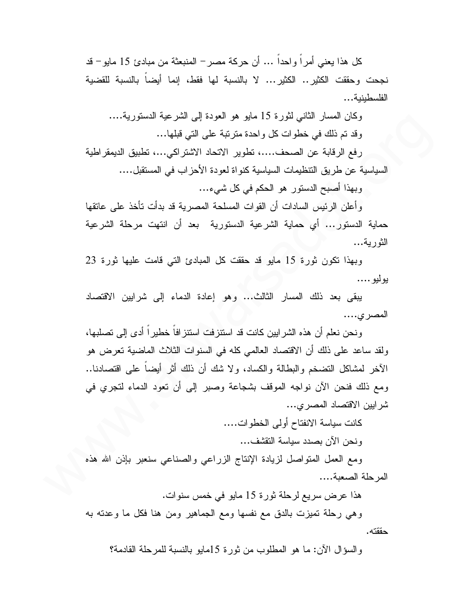كل هذا يعني أمرٍ أ و احداً … أن حركة مصر – المنبعثة من مبادئ 15 مايو – قد نجحت وحققت الكثير .. الكثير ... لا بالنسبة لها فقط، إنما أيضا بالنسبة للقضية الفلسطبنية...

وكان المسار الثاني لثورة 15 مايو هو العودة إلى الشرعية الدستورية.... وقد تم ذلك في خطوات كل واحدة مترتبة على التي قبلها...

رفع الرقابة عن الصحف....، نطوير الاتحاد الاشتراكي...، نطبيق الديمقراطية السياسية عن طريق التنظيمات السياسية كنواة لعودة الأحزاب في المستقبل....

وبهذا أصبح الدستور هو الحكم في كل شيء...

وأعلن الرئيس السادات أن القوات المسلحة المصرية قد بدأت تأخذ على عانقها حماية الدستور... أي حماية الشرعية الدستورية بعد أن انتهت مرحلة الشرعية الثورية...

وبهذا نكون ثورة 15 مايو قد حققت كل المبادئ التي قامت عليها ثورة 23 بوليو ….

يبقى بعد ذلك المسار الثالث... وهو إعادة الدماء إلى شرابين الاقتصاد المصر ى....

ونحن نعلم أن هذه الشرابين كانت قد استنزفت استنزافاً خطيراً أدى إلى تصلبها، ولقد ساعد على ذلك أن الاقتصاد العالمي كله في السنوات الثلاث الماضية تعرض هو الآخر لمشاكل التضخم والبطالة والكساد، ولا شك أن ذلك أثر أيضاً على اقتصادنا.. ومع ذلك فنحن الآن نواجه الموقف بشجاعة وصبر إلى أن تعود الدماء لتجرى في شرايين الاقتصاد المصرى...

كانت سياسة الانفتاح أولى الخطوات....

ونحن الآن بصدد سياسة النقشف...

ومع العمل المنواصل لزيادة الإنتاج الزراعي والصناعي سنعبر بإذن الله هذه المرحلة الصعبة....

هذا عرض سريع لرحلة ثورة 15 مايو في خمس سنوات.

وهي رحلة تميزت بالدق مع نفسها ومع الجماهير ومن هنا فكل ما وعدته به حققته.

والسؤال الآن: ما هو المطلوب من ثورة 15مايو بالنسبة للمرحلة القادمة؟